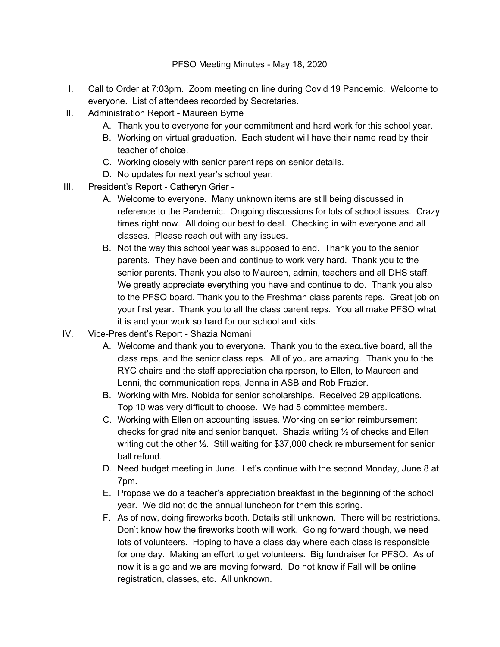- I. Call to Order at 7:03pm. Zoom meeting on line during Covid 19 Pandemic. Welcome to everyone. List of attendees recorded by Secretaries.
- II. Administration Report Maureen Byrne
	- A. Thank you to everyone for your commitment and hard work for this school year.
	- B. Working on virtual graduation. Each student will have their name read by their teacher of choice.
	- C. Working closely with senior parent reps on senior details.
	- D. No updates for next year's school year.
- III. President's Report Catheryn Grier
	- A. Welcome to everyone. Many unknown items are still being discussed in reference to the Pandemic. Ongoing discussions for lots of school issues. Crazy times right now. All doing our best to deal. Checking in with everyone and all classes. Please reach out with any issues.
	- B. Not the way this school year was supposed to end. Thank you to the senior parents. They have been and continue to work very hard. Thank you to the senior parents. Thank you also to Maureen, admin, teachers and all DHS staff. We greatly appreciate everything you have and continue to do. Thank you also to the PFSO board. Thank you to the Freshman class parents reps. Great job on your first year. Thank you to all the class parent reps. You all make PFSO what it is and your work so hard for our school and kids.
- IV. Vice-President's Report Shazia Nomani
	- A. Welcome and thank you to everyone. Thank you to the executive board, all the class reps, and the senior class reps. All of you are amazing. Thank you to the RYC chairs and the staff appreciation chairperson, to Ellen, to Maureen and Lenni, the communication reps, Jenna in ASB and Rob Frazier.
	- B. Working with Mrs. Nobida for senior scholarships. Received 29 applications. Top 10 was very difficult to choose. We had 5 committee members.
	- C. Working with Ellen on accounting issues. Working on senior reimbursement checks for grad nite and senior banquet. Shazia writing  $\frac{1}{2}$  of checks and Ellen writing out the other ½. Still waiting for \$37,000 check reimbursement for senior ball refund.
	- D. Need budget meeting in June. Let's continue with the second Monday, June 8 at 7pm.
	- E. Propose we do a teacher's appreciation breakfast in the beginning of the school year. We did not do the annual luncheon for them this spring.
	- F. As of now, doing fireworks booth. Details still unknown. There will be restrictions. Don't know how the fireworks booth will work. Going forward though, we need lots of volunteers. Hoping to have a class day where each class is responsible for one day. Making an effort to get volunteers. Big fundraiser for PFSO. As of now it is a go and we are moving forward. Do not know if Fall will be online registration, classes, etc. All unknown.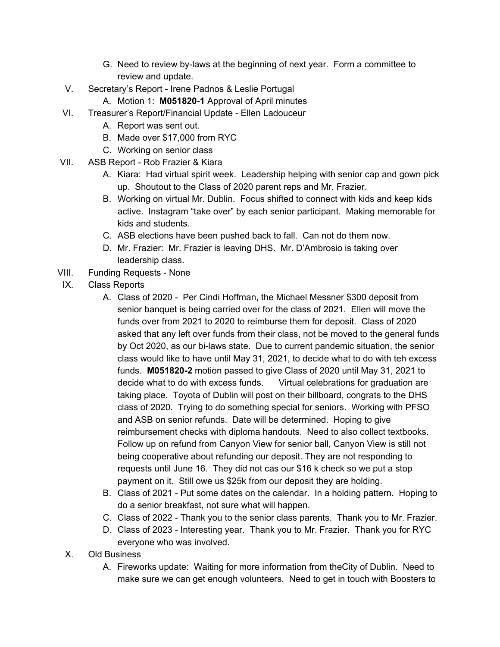- G. Need to review by-laws at the beginning of next year. Form a committee to review and update.
- V. Secretary's Report Irene Padnos & Leslie Portugal
	- A. Motion 1: **M051820-1** Approval of April minutes
- VI. Treasurer's Report/Financial Update Ellen Ladouceur
	- A. Report was sent out.
	- B. Made over \$17,000 from RYC
	- C. Working on senior class
- VII. ASB Report Rob Frazier & Kiara
	- A. Kiara: Had virtual spirit week. Leadership helping with senior cap and gown pick up. Shoutout to the Class of 2020 parent reps and Mr. Frazier.
	- B. Working on virtual Mr. Dublin. Focus shifted to connect with kids and keep kids active. Instagram "take over" by each senior participant. Making memorable for kids and students.
	- C. ASB elections have been pushed back to fall. Can not do them now.
	- D. Mr. Frazier: Mr. Frazier is leaving DHS. Mr. D'Ambrosio is taking over leadership class.
- VIII. Funding Requests None
- IX. Class Reports
	- A. Class of 2020 Per Cindi Hoffman, the Michael Messner \$300 deposit from senior banquet is being carried over for the class of 2021. Ellen will move the funds over from 2021 to 2020 to reimburse them for deposit. Class of 2020 asked that any left over funds from their class, not be moved to the general funds by Oct 2020, as our bi-laws state. Due to current pandemic situation, the senior class would like to have until May 31, 2021, to decide what to do with teh excess funds. **M051820-2** motion passed to give Class of 2020 until May 31, 2021 to decide what to do with excess funds. Virtual celebrations for graduation are taking place. Toyota of Dublin will post on their billboard, congrats to the DHS class of 2020. Trying to do something special for seniors. Working with PFSO and ASB on senior refunds. Date will be determined. Hoping to give reimbursement checks with diploma handouts. Need to also collect textbooks. Follow up on refund from Canyon View for senior ball, Canyon View is still not being cooperative about refunding our deposit. They are not responding to requests until June 16. They did not cas our \$16 k check so we put a stop payment on it. Still owe us \$25k from our deposit they are holding.
	- B. Class of 2021 Put some dates on the calendar. In a holding pattern. Hoping to do a senior breakfast, not sure what will happen.
	- C. Class of 2022 Thank you to the senior class parents. Thank you to Mr. Frazier.
	- D. Class of 2023 Interesting year. Thank you to Mr. Frazier. Thank you for RYC everyone who was involved.
	- X. Old Business
		- A. Fireworks update: Waiting for more information from theCity of Dublin. Need to make sure we can get enough volunteers. Need to get in touch with Boosters to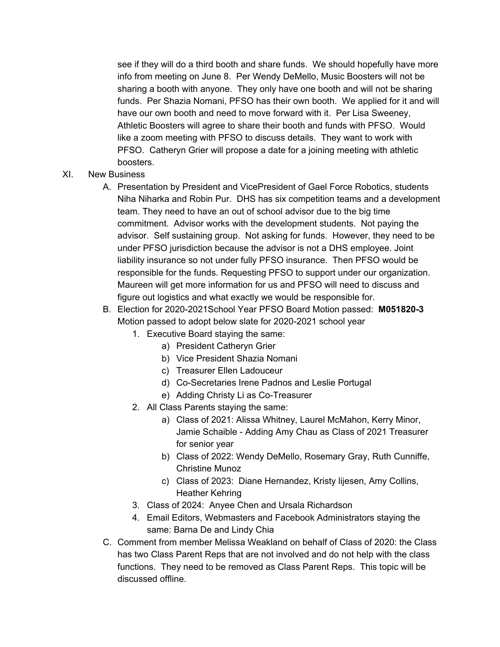see if they will do a third booth and share funds. We should hopefully have more info from meeting on June 8. Per Wendy DeMello, Music Boosters will not be sharing a booth with anyone. They only have one booth and will not be sharing funds. Per Shazia Nomani, PFSO has their own booth. We applied for it and will have our own booth and need to move forward with it. Per Lisa Sweeney, Athletic Boosters will agree to share their booth and funds with PFSO. Would like a zoom meeting with PFSO to discuss details. They want to work with PFSO. Catheryn Grier will propose a date for a joining meeting with athletic boosters.

- XI. New Business
	- A. Presentation by President and VicePresident of Gael Force Robotics, students Niha Niharka and Robin Pur. DHS has six competition teams and a development team. They need to have an out of school advisor due to the big time commitment. Advisor works with the development students. Not paying the advisor. Self sustaining group. Not asking for funds. However, they need to be under PFSO jurisdiction because the advisor is not a DHS employee. Joint liability insurance so not under fully PFSO insurance. Then PFSO would be responsible for the funds. Requesting PFSO to support under our organization. Maureen will get more information for us and PFSO will need to discuss and figure out logistics and what exactly we would be responsible for.
	- B. Election for 2020-2021School Year PFSO Board Motion passed: **M051820-3** Motion passed to adopt below slate for 2020-2021 school year
		- 1. Executive Board staying the same:
			- a) President Catheryn Grier
				- b) Vice President Shazia Nomani
				- c) Treasurer Ellen Ladouceur
			- d) Co-Secretaries Irene Padnos and Leslie Portugal
			- e) Adding Christy Li as Co-Treasurer
		- 2. All Class Parents staying the same:
			- a) Class of 2021: Alissa Whitney, Laurel McMahon, Kerry Minor, Jamie Schaible - Adding Amy Chau as Class of 2021 Treasurer for senior year
			- b) Class of 2022: Wendy DeMello, Rosemary Gray, Ruth Cunniffe, Christine Munoz
			- c) Class of 2023: Diane Hernandez, Kristy lijesen, Amy Collins, Heather Kehring
		- 3. Class of 2024: Anyee Chen and Ursala Richardson
		- 4. Email Editors, Webmasters and Facebook Administrators staying the same: Barna De and Lindy Chia
	- C. Comment from member Melissa Weakland on behalf of Class of 2020: the Class has two Class Parent Reps that are not involved and do not help with the class functions. They need to be removed as Class Parent Reps. This topic will be discussed offline.